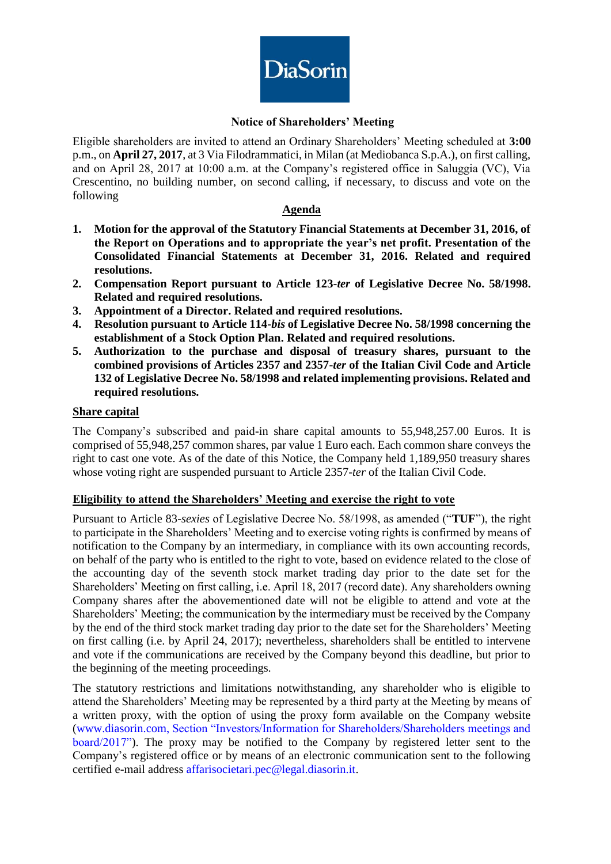

### **Notice of Shareholders' Meeting**

Eligible shareholders are invited to attend an Ordinary Shareholders' Meeting scheduled at **3:00** p.m., on **April 27, 2017**, at 3 Via Filodrammatici, in Milan (at Mediobanca S.p.A.), on first calling, and on April 28, 2017 at 10:00 a.m. at the Company's registered office in Saluggia (VC), Via Crescentino, no building number, on second calling, if necessary, to discuss and vote on the following

### **Agenda**

- **1. Motion for the approval of the Statutory Financial Statements at December 31, 2016, of the Report on Operations and to appropriate the year's net profit. Presentation of the Consolidated Financial Statements at December 31, 2016. Related and required resolutions.**
- **2. Compensation Report pursuant to Article 123-***ter* **of Legislative Decree No. 58/1998. Related and required resolutions.**
- **3. Appointment of a Director. Related and required resolutions.**
- **4. Resolution pursuant to Article 114-***bis* **of Legislative Decree No. 58/1998 concerning the establishment of a Stock Option Plan. Related and required resolutions.**
- **5. Authorization to the purchase and disposal of treasury shares, pursuant to the combined provisions of Articles 2357 and 2357-***ter* **of the Italian Civil Code and Article 132 of Legislative Decree No. 58/1998 and related implementing provisions. Related and required resolutions.**

#### **Share capital**

The Company's subscribed and paid-in share capital amounts to 55,948,257.00 Euros. It is comprised of 55,948,257 common shares, par value 1 Euro each. Each common share conveys the right to cast one vote. As of the date of this Notice, the Company held 1,189,950 treasury shares whose voting right are suspended pursuant to Article 2357-*ter* of the Italian Civil Code.

## **Eligibility to attend the Shareholders' Meeting and exercise the right to vote**

Pursuant to Article 83-*sexies* of Legislative Decree No. 58/1998, as amended ("**TUF**"), the right to participate in the Shareholders' Meeting and to exercise voting rights is confirmed by means of notification to the Company by an intermediary, in compliance with its own accounting records, on behalf of the party who is entitled to the right to vote, based on evidence related to the close of the accounting day of the seventh stock market trading day prior to the date set for the Shareholders' Meeting on first calling, i.e. April 18, 2017 (record date). Any shareholders owning Company shares after the abovementioned date will not be eligible to attend and vote at the Shareholders' Meeting; the communication by the intermediary must be received by the Company by the end of the third stock market trading day prior to the date set for the Shareholders' Meeting on first calling (i.e. by April 24, 2017); nevertheless, shareholders shall be entitled to intervene and vote if the communications are received by the Company beyond this deadline, but prior to the beginning of the meeting proceedings.

The statutory restrictions and limitations notwithstanding, any shareholder who is eligible to attend the Shareholders' Meeting may be represented by a third party at the Meeting by means of a written proxy, with the option of using the proxy form available on the Company website [\(www.diasorin.com,](http://www.diasorin.com/) Section "Investors/Information for Shareholders/Shareholders meetings and board/2017"). The proxy may be notified to the Company by registered letter sent to the Company's registered office or by means of an electronic communication sent to the following certified e-mail address affarisocietari.pec@legal.diasorin.it.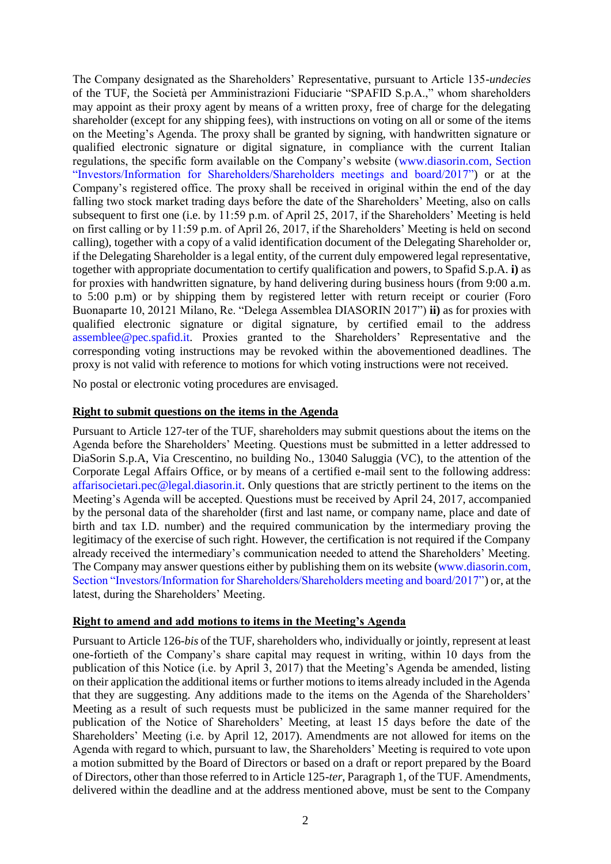The Company designated as the Shareholders' Representative, pursuant to Article 135-*undecies* of the TUF, the Società per Amministrazioni Fiduciarie "SPAFID S.p.A.," whom shareholders may appoint as their proxy agent by means of a written proxy, free of charge for the delegating shareholder (except for any shipping fees), with instructions on voting on all or some of the items on the Meeting's Agenda. The proxy shall be granted by signing, with handwritten signature or qualified electronic signature or digital signature, in compliance with the current Italian regulations, the specific form available on the Company's website [\(www.diasorin.com,](http://www.diasorin.com/) Section "Investors/Information for Shareholders/Shareholders meetings and board/2017") or at the Company's registered office. The proxy shall be received in original within the end of the day falling two stock market trading days before the date of the Shareholders' Meeting, also on calls subsequent to first one (i.e. by 11:59 p.m. of April 25, 2017, if the Shareholders' Meeting is held on first calling or by 11:59 p.m. of April 26, 2017, if the Shareholders' Meeting is held on second calling), together with a copy of a valid identification document of the Delegating Shareholder or, if the Delegating Shareholder is a legal entity, of the current duly empowered legal representative, together with appropriate documentation to certify qualification and powers, to Spafid S.p.A. **i)** as for proxies with handwritten signature, by hand delivering during business hours (from 9:00 a.m. to 5:00 p.m) or by shipping them by registered letter with return receipt or courier (Foro Buonaparte 10, 20121 Milano, Re. "Delega Assemblea DIASORIN 2017") **ii)** as for proxies with qualified electronic signature or digital signature, by certified email to the address assemblee@pec.spafid.it. Proxies granted to the Shareholders' Representative and the corresponding voting instructions may be revoked within the abovementioned deadlines. The proxy is not valid with reference to motions for which voting instructions were not received.

No postal or electronic voting procedures are envisaged.

#### **Right to submit questions on the items in the Agenda**

Pursuant to Article 127-ter of the TUF, shareholders may submit questions about the items on the Agenda before the Shareholders' Meeting. Questions must be submitted in a letter addressed to DiaSorin S.p.A, Via Crescentino, no building No., 13040 Saluggia (VC), to the attention of the Corporate Legal Affairs Office, or by means of a certified e-mail sent to the following address: [affarisocietari.pec@legal.diasorin.it.](mailto:affarisocietari@diasorin.it) Only questions that are strictly pertinent to the items on the Meeting's Agenda will be accepted. Questions must be received by April 24, 2017, accompanied by the personal data of the shareholder (first and last name, or company name, place and date of birth and tax I.D. number) and the required communication by the intermediary proving the legitimacy of the exercise of such right. However, the certification is not required if the Company already received the intermediary's communication needed to attend the Shareholders' Meeting. The Company may answer questions either by publishing them on its website [\(www.diasorin.com,](http://www.diasorin.com/) Section "Investors/Information for Shareholders/Shareholders meeting and board/2017") or, at the latest, during the Shareholders' Meeting.

#### **Right to amend and add motions to items in the Meeting's Agenda**

Pursuant to Article 126-*bis* of the TUF, shareholders who, individually or jointly, represent at least one-fortieth of the Company's share capital may request in writing, within 10 days from the publication of this Notice (i.e. by April 3, 2017) that the Meeting's Agenda be amended, listing on their application the additional items or further motions to items already included in the Agenda that they are suggesting. Any additions made to the items on the Agenda of the Shareholders' Meeting as a result of such requests must be publicized in the same manner required for the publication of the Notice of Shareholders' Meeting, at least 15 days before the date of the Shareholders' Meeting (i.e. by April 12, 2017). Amendments are not allowed for items on the Agenda with regard to which, pursuant to law, the Shareholders' Meeting is required to vote upon a motion submitted by the Board of Directors or based on a draft or report prepared by the Board of Directors, other than those referred to in Article 125-*ter*, Paragraph 1, of the TUF. Amendments, delivered within the deadline and at the address mentioned above, must be sent to the Company